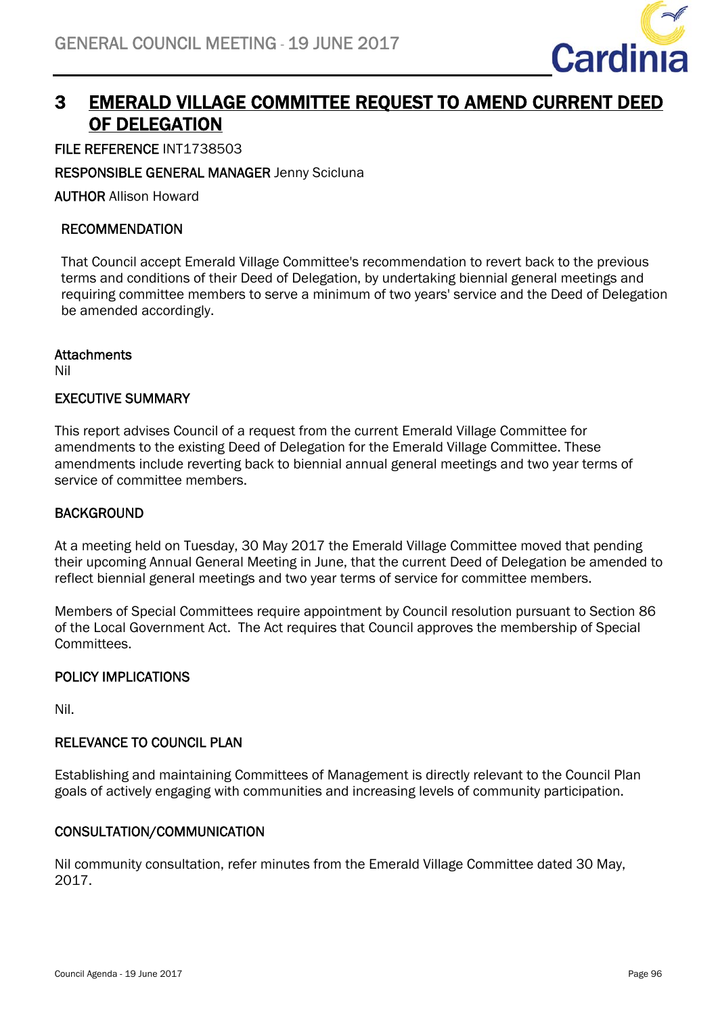

# 3 EMERALD VILLAGE COMMITTEE REQUEST TO AMEND CURRENT DEED OF DELEGATION

FILE REFERENCE INT1738503

## RESPONSIBLE GENERAL MANAGER Jenny Scicluna

AUTHOR Allison Howard

#### RECOMMENDATION

That Council accept Emerald Village Committee's recommendation to revert back to the previous terms and conditions of their Deed of Delegation, by undertaking biennial general meetings and requiring committee members to serve a minimum of two years' service and the Deed of Delegation be amended accordingly.

#### **Attachments**

Nil

## EXECUTIVE SUMMARY

This report advises Council of a request from the current Emerald Village Committee for amendments to the existing Deed of Delegation for the Emerald Village Committee. These amendments include reverting back to biennial annual general meetings and two year terms of service of committee members.

## **BACKGROUND**

At a meeting held on Tuesday, 30 May 2017 the Emerald Village Committee moved that pending their upcoming Annual General Meeting in June, that the current Deed of Delegation be amended to reflect biennial general meetings and two year terms of service for committee members.

Members of Special Committees require appointment by Council resolution pursuant to Section 86 of the Local Government Act. The Act requires that Council approves the membership of Special Committees.

## POLICY IMPLICATIONS

Nil.

## RELEVANCE TO COUNCIL PLAN

Establishing and maintaining Committees of Management is directly relevant to the Council Plan goals of actively engaging with communities and increasing levels of community participation.

## CONSULTATION/COMMUNICATION

Nil community consultation, refer minutes from the Emerald Village Committee dated 30 May, 2017.